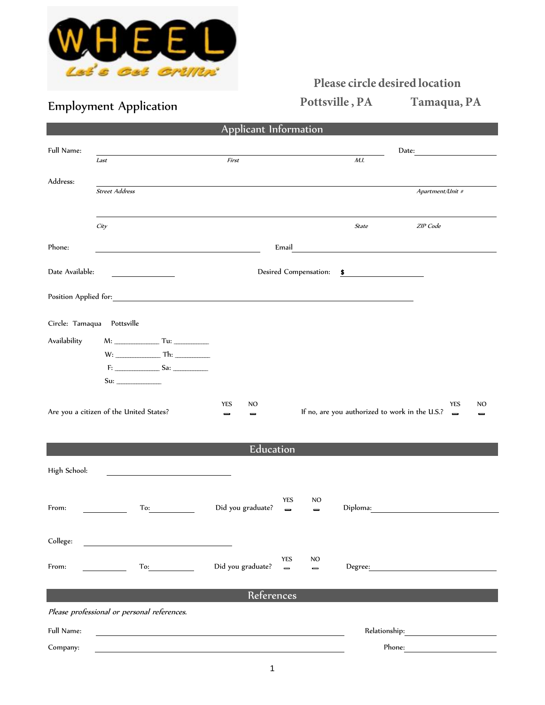

## **Please circle desired location**

Employment Application **Pottsville, PA** Tamaqua, PA

|                            |                                                                                                                                                                                                                                | Applicant Information             |                                   |                                                |                                                                                                                      |                |  |
|----------------------------|--------------------------------------------------------------------------------------------------------------------------------------------------------------------------------------------------------------------------------|-----------------------------------|-----------------------------------|------------------------------------------------|----------------------------------------------------------------------------------------------------------------------|----------------|--|
| Full Name:                 |                                                                                                                                                                                                                                |                                   |                                   | Date:                                          |                                                                                                                      |                |  |
|                            | Last                                                                                                                                                                                                                           | First                             |                                   | M.I.                                           |                                                                                                                      |                |  |
| Address:                   | <b>Street Address</b>                                                                                                                                                                                                          |                                   |                                   |                                                | Apartment/Unit #                                                                                                     |                |  |
|                            |                                                                                                                                                                                                                                |                                   |                                   |                                                |                                                                                                                      |                |  |
|                            | City                                                                                                                                                                                                                           |                                   |                                   | <b>State</b>                                   | ZIP Code                                                                                                             |                |  |
| Phone:                     |                                                                                                                                                                                                                                |                                   | Email                             |                                                | <u> 1989 - Johann Barn, mars ann an t-Amhain Aonaich an t-Aonaich an t-Aonaich ann an t-Aonaich ann an t-Aonaich</u> |                |  |
| Date Available:            |                                                                                                                                                                                                                                |                                   | Desired Compensation: \$          |                                                |                                                                                                                      |                |  |
|                            | Position Applied for: Note that the set of the set of the set of the set of the set of the set of the set of the set of the set of the set of the set of the set of the set of the set of the set of the set of the set of the |                                   |                                   |                                                |                                                                                                                      |                |  |
| Circle: Tamaqua Pottsville |                                                                                                                                                                                                                                |                                   |                                   |                                                |                                                                                                                      |                |  |
| Availability               | $M:$ Tu:                                                                                                                                                                                                                       |                                   |                                   |                                                |                                                                                                                      |                |  |
|                            |                                                                                                                                                                                                                                |                                   |                                   |                                                |                                                                                                                      |                |  |
|                            |                                                                                                                                                                                                                                |                                   |                                   |                                                |                                                                                                                      |                |  |
|                            |                                                                                                                                                                                                                                |                                   |                                   |                                                |                                                                                                                      |                |  |
|                            | Are you a citizen of the United States?                                                                                                                                                                                        | YES<br>NO<br>$\equiv$<br>$\equiv$ |                                   | If no, are you authorized to work in the U.S.? | <b>YES</b><br>$\qquad \qquad \blacksquare$                                                                           | NO<br>$\equiv$ |  |
| Education                  |                                                                                                                                                                                                                                |                                   |                                   |                                                |                                                                                                                      |                |  |
| High School:               |                                                                                                                                                                                                                                |                                   |                                   |                                                |                                                                                                                      |                |  |
|                            |                                                                                                                                                                                                                                |                                   | YES<br>NO                         |                                                |                                                                                                                      |                |  |
| From:                      | To:                                                                                                                                                                                                                            | Did you graduate?                 | $\equiv$<br>$\equiv$              | Diploma:                                       |                                                                                                                      |                |  |
| College:                   |                                                                                                                                                                                                                                |                                   |                                   |                                                |                                                                                                                      |                |  |
| From:                      | To:                                                                                                                                                                                                                            | Did you graduate?                 | YES<br>NO<br>$\equiv$<br>$\equiv$ | Degree:                                        |                                                                                                                      |                |  |
|                            |                                                                                                                                                                                                                                | References                        |                                   |                                                |                                                                                                                      |                |  |
|                            | Please professional or personal references.                                                                                                                                                                                    |                                   |                                   |                                                |                                                                                                                      |                |  |
| Full Name:                 | Relationship: The contract of the contract of the contract of the contract of the contract of the contract of the contract of the contract of the contract of the contract of the contract of the contract of the contract of  |                                   |                                   |                                                |                                                                                                                      |                |  |
| Company:                   |                                                                                                                                                                                                                                |                                   |                                   |                                                | Phone:                                                                                                               |                |  |